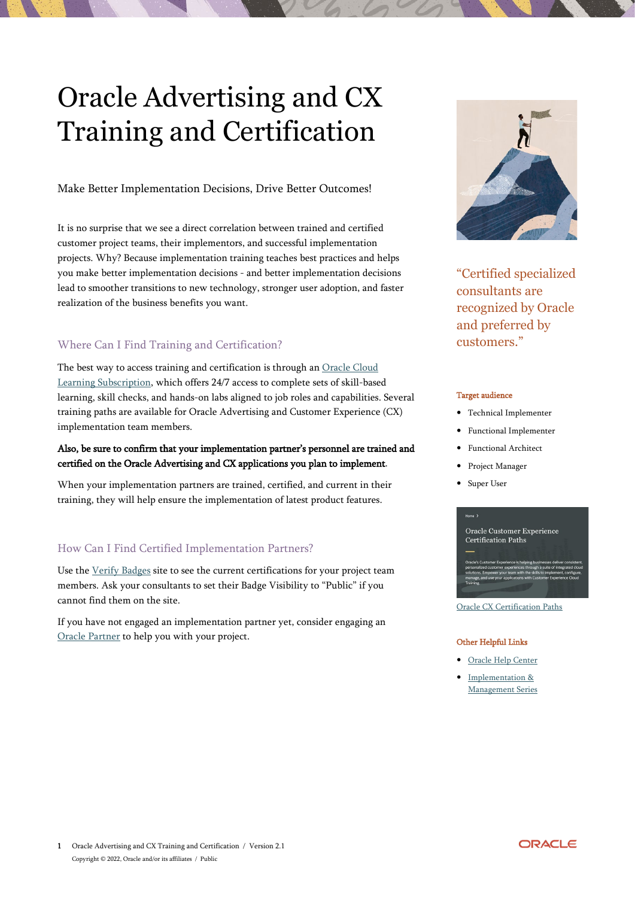# Oracle Advertising and CX Training and Certification

Make Better Implementation Decisions, Drive Better Outcomes!

It is no surprise that we see a direct correlation between trained and certified customer project teams, their implementors, and successful implementation projects. Why? Because implementation training teaches best practices and helps you make better implementation decisions - and better implementation decisions lead to smoother transitions to new technology, stronger user adoption, and faster realization of the business benefits you want.

# Where Can I Find Training and Certification?

The best way to access training and certification is through an Oracle Cloud [Learning Subscription,](https://education.oracle.com/oracle-cloud-learning-subscriptions) which offers 24/7 access to complete sets of skill-based learning, skill checks, and hands-on labs aligned to job roles and capabilities. Several training paths are available for Oracle Advertising and Customer Experience (CX) implementation team members.

## Also, be sure to confirm that your implementation partner's personnel are trained and certified on the Oracle Advertising and CX applications you plan to implement.

When your implementation partners are trained, certified, and current in their training, they will help ensure the implementation of latest product features.

# How Can I Find Certified Implementation Partners?

Use the [Verify Badges](https://www.youracclaim.com/org/oracle/verify) site to see the current certifications for your project team members. Ask your consultants to set their Badge Visibility to "Public" if you cannot find them on the site.

If you have not engaged an implementation partner yet, consider engaging an [Oracle Partner](https://partner-finder.oracle.com/) to help you with your project.



"Certified specialized consultants are recognized by Oracle and preferred by customers."

#### Target audience

- Technical Implementer
- Functional Implementer
- Functional Architect
- Project Manager
- Super User



[Oracle CX Certification Paths](https://education.oracle.com/oracle-certification-path/pPillar_642)

#### Other Helpful Links

- [Oracle Help Center](https://docs.oracle.com/en/cloud/saas/index.html)
- Implementation & [Management Series](https://www.youtube.com/playlist?list=PLic2ApDtQSOek1R2daQjzRknZuwWvMn0f)

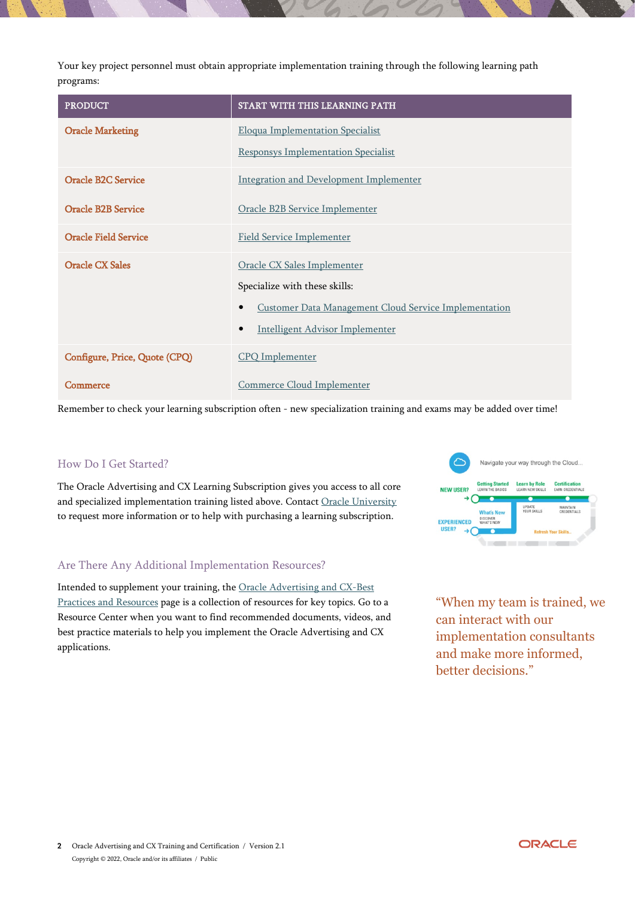Your key project personnel must obtain appropriate implementation training through the following learning path programs:

| <b>PRODUCT</b>                | START WITH THIS LEARNING PATH                                             |
|-------------------------------|---------------------------------------------------------------------------|
| <b>Oracle Marketing</b>       | <b>Eloqua Implementation Specialist</b>                                   |
|                               | <b>Responsys Implementation Specialist</b>                                |
| <b>Oracle B2C Service</b>     | <b>Integration and Development Implementer</b>                            |
| <b>Oracle B2B Service</b>     | Oracle B2B Service Implementer                                            |
| <b>Oracle Field Service</b>   | <b>Field Service Implementer</b>                                          |
| Oracle CX Sales               | Oracle CX Sales Implementer                                               |
|                               | Specialize with these skills:                                             |
|                               | <b>Customer Data Management Cloud Service Implementation</b><br>$\bullet$ |
|                               | <b>Intelligent Advisor Implementer</b><br>$\bullet$                       |
| Configure, Price, Quote (CPQ) | <b>CPQ</b> Implementer                                                    |
| Commerce                      | Commerce Cloud Implementer                                                |

Remember to check your learning subscription often - new specialization training and exams may be added over time!

## How Do I Get Started?

The Oracle Advertising and CX Learning Subscription gives you access to all core and specialized implementation training listed above. Contact [Oracle University](http://education.oracle.com/pls/web_prod-plq-dad/db_pages.getpage?page_id=225) to request more information or to help with purchasing a learning subscription.

## Are There Any Additional Implementation Resources?

Intended to supplement your training, the [Oracle Advertising and CX-Best](https://www.oracle.com/cx/resources/)  [Practices and Resources](https://www.oracle.com/cx/resources/) page is a collection of resources for key topics. Go to a Resource Center when you want to find recommended documents, videos, and best practice materials to help you implement the Oracle Advertising and CX applications.



"When my team is trained, we can interact with our implementation consultants and make more informed, better decisions."